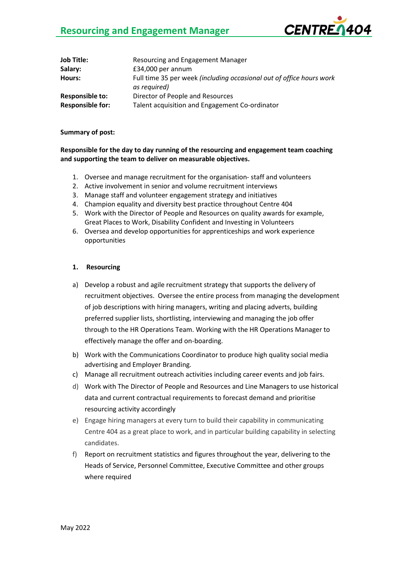# **Resourcing and Engagement Manager**



| <b>Job Title:</b>       | Resourcing and Engagement Manager                                                    |
|-------------------------|--------------------------------------------------------------------------------------|
| Salary:                 | £34,000 per annum                                                                    |
| Hours:                  | Full time 35 per week (including occasional out of office hours work<br>as required) |
| <b>Responsible to:</b>  | Director of People and Resources                                                     |
| <b>Responsible for:</b> | Talent acquisition and Engagement Co-ordinator                                       |

#### **Summary of post:**

## **Responsible for the day to day running of the resourcing and engagement team coaching and supporting the team to deliver on measurable objectives.**

- 1. Oversee and manage recruitment for the organisation- staff and volunteers
- 2. Active involvement in senior and volume recruitment interviews
- 3. Manage staff and volunteer engagement strategy and initiatives
- 4. Champion equality and diversity best practice throughout Centre 404
- 5. Work with the Director of People and Resources on quality awards for example, Great Places to Work, Disability Confident and Investing in Volunteers
- 6. Oversea and develop opportunities for apprenticeships and work experience opportunities

### **1. Resourcing**

- a) Develop a robust and agile recruitment strategy that supports the delivery of recruitment objectives. Oversee the entire process from managing the development of job descriptions with hiring managers, writing and placing adverts, building preferred supplier lists, shortlisting, interviewing and managing the job offer through to the HR Operations Team. Working with the HR Operations Manager to effectively manage the offer and on-boarding.
- b) Work with the Communications Coordinator to produce high quality social media advertising and Employer Branding.
- c) Manage all recruitment outreach activities including career events and job fairs.
- d) Work with The Director of People and Resources and Line Managers to use historical data and current contractual requirements to forecast demand and prioritise resourcing activity accordingly
- e) Engage hiring managers at every turn to build their capability in communicating Centre 404 as a great place to work, and in particular building capability in selecting candidates.
- f) Report on recruitment statistics and figures throughout the year, delivering to the Heads of Service, Personnel Committee, Executive Committee and other groups where required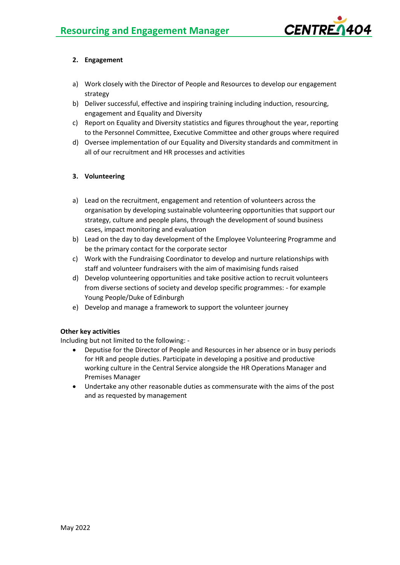

# **2. Engagement**

- a) Work closely with the Director of People and Resources to develop our engagement strategy
- b) Deliver successful, effective and inspiring training including induction, resourcing, engagement and Equality and Diversity
- c) Report on Equality and Diversity statistics and figures throughout the year, reporting to the Personnel Committee, Executive Committee and other groups where required
- d) Oversee implementation of our Equality and Diversity standards and commitment in all of our recruitment and HR processes and activities

# **3. Volunteering**

- a) Lead on the recruitment, engagement and retention of volunteers across the organisation by developing sustainable volunteering opportunities that support our strategy, culture and people plans, through the development of sound business cases, impact monitoring and evaluation
- b) Lead on the day to day development of the Employee Volunteering Programme and be the primary contact for the corporate sector
- c) Work with the Fundraising Coordinator to develop and nurture relationships with staff and volunteer fundraisers with the aim of maximising funds raised
- d) Develop volunteering opportunities and take positive action to recruit volunteers from diverse sections of society and develop specific programmes: - for example Young People/Duke of Edinburgh
- e) Develop and manage a framework to support the volunteer journey

# **Other key activities**

Including but not limited to the following: -

- Deputise for the Director of People and Resources in her absence or in busy periods for HR and people duties. Participate in developing a positive and productive working culture in the Central Service alongside the HR Operations Manager and Premises Manager
- Undertake any other reasonable duties as commensurate with the aims of the post and as requested by management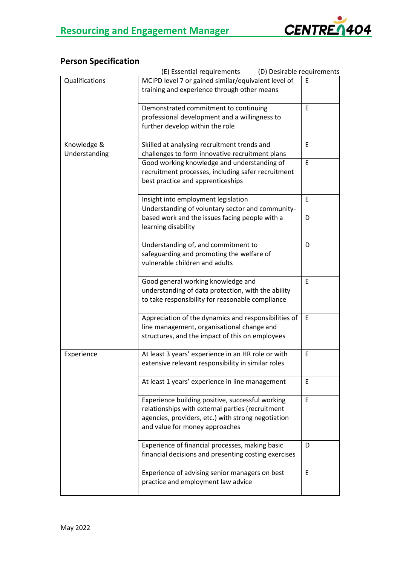# **Person Specification**

|                | (D) Desirable requirements<br>(E) Essential requirements                    |             |
|----------------|-----------------------------------------------------------------------------|-------------|
| Qualifications | MCIPD level 7 or gained similar/equivalent level of                         | Ε           |
|                | training and experience through other means                                 |             |
|                |                                                                             |             |
|                | Demonstrated commitment to continuing                                       | E           |
|                | professional development and a willingness to                               |             |
|                | further develop within the role                                             |             |
|                |                                                                             |             |
| Knowledge &    | Skilled at analysing recruitment trends and                                 | E           |
| Understanding  | challenges to form innovative recruitment plans                             |             |
|                | Good working knowledge and understanding of                                 | E           |
|                | recruitment processes, including safer recruitment                          |             |
|                | best practice and apprenticeships                                           |             |
|                |                                                                             |             |
|                | Insight into employment legislation                                         | E           |
|                | Understanding of voluntary sector and community-                            |             |
|                | based work and the issues facing people with a                              | D           |
|                | learning disability                                                         |             |
|                |                                                                             |             |
|                | Understanding of, and commitment to                                         | D           |
|                | safeguarding and promoting the welfare of<br>vulnerable children and adults |             |
|                |                                                                             |             |
|                | Good general working knowledge and                                          | $\mathsf E$ |
|                | understanding of data protection, with the ability                          |             |
|                | to take responsibility for reasonable compliance                            |             |
|                |                                                                             |             |
|                | Appreciation of the dynamics and responsibilities of                        | E           |
|                | line management, organisational change and                                  |             |
|                | structures, and the impact of this on employees                             |             |
|                |                                                                             |             |
| Experience     | At least 3 years' experience in an HR role or with                          | Ε           |
|                | extensive relevant responsibility in similar roles                          |             |
|                |                                                                             |             |
|                | At least 1 years' experience in line management                             | E           |
|                |                                                                             |             |
|                | Experience building positive, successful working                            | E           |
|                | relationships with external parties (recruitment                            |             |
|                | agencies, providers, etc.) with strong negotiation                          |             |
|                | and value for money approaches                                              |             |
|                |                                                                             |             |
|                | Experience of financial processes, making basic                             | D           |
|                | financial decisions and presenting costing exercises                        |             |
|                |                                                                             |             |
|                | Experience of advising senior managers on best                              | E           |
|                | practice and employment law advice                                          |             |
|                |                                                                             |             |